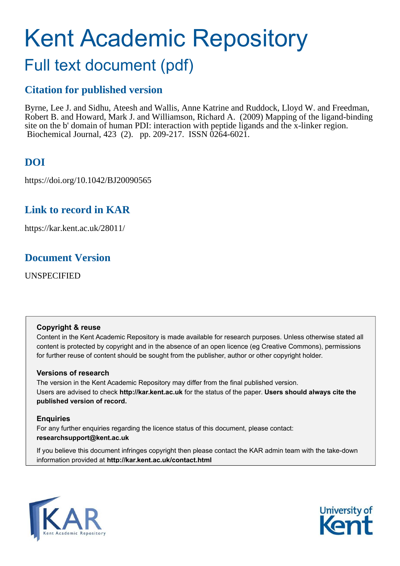# Kent Academic Repository

# Full text document (pdf)

# **Citation for published version**

Byrne, Lee J. and Sidhu, Ateesh and Wallis, Anne Katrine and Ruddock, Lloyd W. and Freedman, Robert B. and Howard, Mark J. and Williamson, Richard A. (2009) Mapping of the ligand-binding site on the b' domain of human PDI: interaction with peptide ligands and the x-linker region. Biochemical Journal, 423 (2). pp. 209-217. ISSN 0264-6021.

# **DOI**

https://doi.org/10.1042/BJ20090565

## **Link to record in KAR**

https://kar.kent.ac.uk/28011/

### **Document Version**

UNSPECIFIED

#### **Copyright & reuse**

Content in the Kent Academic Repository is made available for research purposes. Unless otherwise stated all content is protected by copyright and in the absence of an open licence (eg Creative Commons), permissions for further reuse of content should be sought from the publisher, author or other copyright holder.

#### **Versions of research**

The version in the Kent Academic Repository may differ from the final published version. Users are advised to check **http://kar.kent.ac.uk** for the status of the paper. **Users should always cite the published version of record.**

#### **Enquiries**

For any further enquiries regarding the licence status of this document, please contact: **researchsupport@kent.ac.uk**

If you believe this document infringes copyright then please contact the KAR admin team with the take-down information provided at **http://kar.kent.ac.uk/contact.html**



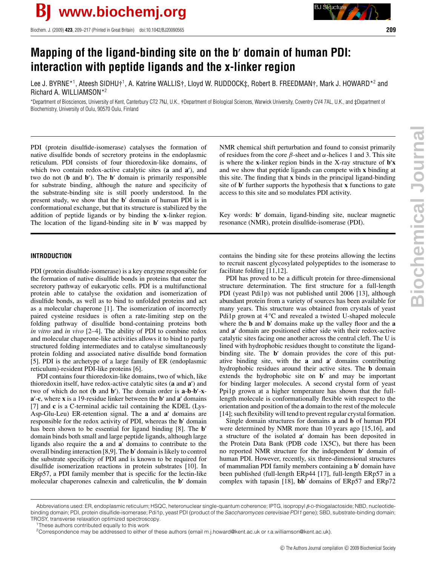Biochem. J. (2009) **423**, 209–217 (Printed in Great Britain) doi:10.1042/BJ20090565 **209**

# **Mapping of the ligand-binding site on the b**′ **domain of human PDI: interaction with peptide ligands and the x-linker region**

Lee J. BYRNE\*1, Ateesh SIDHU†1, A. Katrine WALLIS†, Lloyd W. RUDDOCK‡, Robert B. FREEDMAN†, Mark J. HOWARD\*<sup>2</sup> and Richard A. WILLIAMSON\*<sup>2</sup>

\*Department of Biosciences, University of Kent, Canterbury CT2 7NJ, U.K., †Department of Biological Sciences, Warwick University, Coventry CV4 7AL, U.K., and ‡Department of Biochemistry, University of Oulu, 90570 Oulu, Finland

PDI (protein disulfide-isomerase) catalyses the formation of native disulfide bonds of secretory proteins in the endoplasmic reticulum. PDI consists of four thioredoxin-like domains, of which two contain redox-active catalytic sites (**a** and **a** ′ ), and two do not (**b** and **b** ′ ). The **b** ′ domain is primarily responsible for substrate binding, although the nature and specificity of the substrate-binding site is still poorly understood. In the present study, we show that the **b** ′ domain of human PDI is in conformational exchange, but that its structure is stabilized by the addition of peptide ligands or by binding the **x**-linker region. The location of the ligand-binding site in **b** ′ was mapped by

#### **INTRODUCTION**

PDI (protein disulfide-isomerase) is a key enzyme responsible for the formation of native disulfide bonds in proteins that enter the secretory pathway of eukaryotic cells. PDI is a multifunctional protein able to catalyse the oxidation and isomerization of disulfide bonds, as well as to bind to unfolded proteins and act as a molecular chaperone [1]. The isomerization of incorrectly paired cysteine residues is often a rate-limiting step on the folding pathway of disulfide bond-containing proteins both *in vitro* and *in vivo* [2–4]. The ability of PDI to combine redox and molecular chaperone-like activities allows it to bind to partly structured folding intermediates and to catalyse simultaneously protein folding and associated native disulfide bond formation [5]. PDI is the archetype of a large family of ER (endoplasmic reticulum)-resident PDI-like proteins [6].

PDI contains four thioredoxin-like domains, two of which, like thioredoxin itself, have redox-active catalytic sites (**a** and **a** ′ ) and two of which do not (**b** and **b** ′ ). The domain order is **a**-**b**-**b** ′ -**xa**<sup>'</sup>-c, where **x** is a 19-residue linker between the **b**<sup>'</sup> and **a**<sup>'</sup> domains [7] and **c** is a C-terminal acidic tail containing the KDEL (Lys-Asp-Glu-Leu) ER-retention signal. The **a** and **a** ′ domains are responsible for the redox activity of PDI, whereas the **b** ′ domain has been shown to be essential for ligand binding [8]. The **b** ′ domain binds both small and large peptide ligands, although large ligands also require the **a** and **a** ′ domains to contribute to the overall binding interaction [8,9]. The **b** ′ domain is likely to control the substrate specificity of PDI and is known to be required for disulfide isomerization reactions in protein substrates [10]. In ERp57, a PDI family member that is specific for the lectin-like molecular chaperones calnexin and calreticulin, the **b** ′ domain

NMR chemical shift perturbation and found to consist primarily of residues from the core  $\beta$ -sheet and  $\alpha$ -helices 1 and 3. This site is where the **x**-linker region binds in the X-ray structure of **b** ′**x** and we show that peptide ligands can compete with **x** binding at this site. The finding that **x** binds in the principal ligand-binding site of **b** ′ further supports the hypothesis that **x** functions to gate access to this site and so modulates PDI activity.

Key words: **b** ′ domain, ligand-binding site, nuclear magnetic resonance (NMR), protein disulfide-isomerase (PDI).

contains the binding site for these proteins allowing the lectins to recruit nascent glycosylated polypeptides to the isomerase to facilitate folding [11,12].

PDI has proved to be a difficult protein for three-dimensional structure determination. The first structure for a full-length PDI (yeast Pdi1p) was not published until 2006 [13], although abundant protein from a variety of sources has been available for many years. This structure was obtained from crystals of yeast Pdi1p grown at 4 ℃ and revealed a twisted U-shaped molecule where the **b** and **b** ′ domains make up the valley floor and the **a** and **a** ′ domain are positioned either side with their redox-active catalytic sites facing one another across the central cleft. The U is lined with hydrophobic residues thought to constitute the ligandbinding site. The **b** ′ domain provides the core of this putative binding site, with the **a** and **a** ′ domains contributing hydrophobic residues around their active sites. The **b** domain extends the hydrophobic site on **b'** and may be important for binding larger molecules. A second crystal form of yeast Ppi1p grown at a higher temperature has shown that the fulllength molecule is conformationally flexible with respect to the orientation and position of the **a** domain to the rest of the molecule [14]; such flexibility will tend to prevent regular crystal formation.

Single domain structures for domains **a** and **b** of human PDI were determined by NMR more than 10 years ago [15,16], and a structure of the isolated **a** ′ domain has been deposited in the Protein Data Bank (PDB code 1X5C), but there has been no reported NMR structure for the independent **b** ′ domain of human PDI. However, recently, six three-dimensional structures of mammalian PDI family members containing a **b** ′ domain have been published (full-length ERp44 [17], full-length ERp57 in a complex with tapasin [18], **bb**′ domains of ERp57 and ERp72



Abbreviations used: ER, endoplasmic reticulum; HSQC, heteronuclear single-quantum coherence; IPTG, isopropyl β-D-thiogalactoside; NBD, nucleotidebinding domain; PDI, protein disulfide-isomerase; Pdi1p, yeast PDI (product of the Saccharomyces cerevisiae PDI1 gene); SBD, substrate-binding domain; TROSY, transverse relaxation optimized spectroscopy.

<sup>&</sup>lt;sup>1</sup>These authors contributed equally to this work

<sup>2</sup>Correspondence may be addressed to either of these authors (email m.j.howard@kent.ac.uk or r.a.williamson@kent.ac.uk).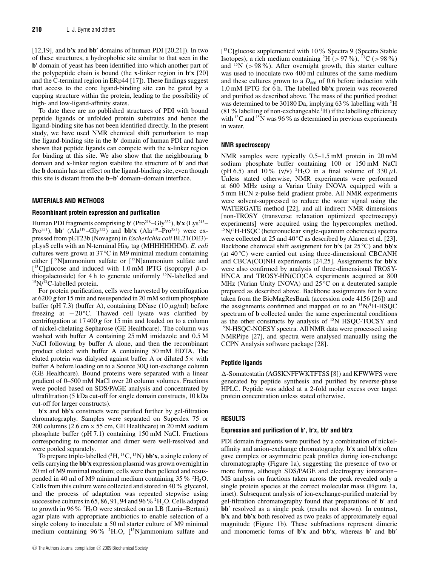[12,19], and **b** ′**x** and **bb**′ domains of human PDI [20,21]). In two of these structures, a hydrophobic site similar to that seen in the **b** ′ domain of yeast has been identified into which another part of the polypeptide chain is bound (the **x**-linker region in **b** ′**x** [20] and the C-terminal region in ERp44 [17]). These findings suggest that access to the core ligand-binding site can be gated by a capping structure within the protein, leading to the possibility of high- and low-ligand-affinity states.

To date there are no published structures of PDI with bound peptide ligands or unfolded protein substrates and hence the ligand-binding site has not been identified directly. In the present study, we have used NMR chemical shift perturbation to map the ligand-binding site in the **b** ′ domain of human PDI and have shown that peptide ligands can compete with the **x**-linker region for binding at this site. We also show that the neighbouring **b** domain and **x**-linker region stabilize the structure of **b** ′ and that the **b** domain has an effect on the ligand-binding site, even though this site is distant from the **b–b**′ domain–domain interface.

#### **MATERIALS AND METHODS**

#### **Recombinant protein expression and purification**

Human PDI fragments comprising **b**' (Pro<sup>218</sup>–Gly<sup>332</sup>), **b'x** (Lys<sup>213</sup>– Pro<sup>351</sup>), **bb**<sup> $\prime$ </sup> (Ala<sup>119</sup>–Gly<sup>332</sup>) and **bb<sup>** $\prime$ **</sup>x** (Ala<sup>119</sup>–Pro<sup>351</sup>) were expressed from pET23b (Novagen) in *Escherichia coli* BL21(DE3) pLysS cells with an N-terminal His<sub>6</sub> tag (MHHHHHHM). *E. coli* cultures were grown at 37 ◦C in M9 minimal medium containing either [<sup>15</sup>N]ammonium sulfate or [<sup>15</sup>N]ammonium sulfate and [<sup>13</sup>C]glucose and induced with 1.0 mM IPTG (isopropyl  $\beta$ -Dthiogalactoside) for 4 h to generate uniformly <sup>15</sup>N-labelled and <sup>15</sup>N/<sup>13</sup>C-labelled protein.

For protein purification, cells were harvested by centrifugation at 6200 *g* for 15 min and resuspended in 20 mM sodium phosphate buffer (pH 7.3) (buffer A), containing DNase (10  $\mu$ g/ml) before freezing at  $-20$  °C. Thawed cell lysate was clarified by centrifugation at 17400 *g* for 15 min and loaded on to a column of nickel-chelating Sepharose (GE Healthcare). The column was washed with buffer A containing 25 mM imidazole and 0.5 M NaCl following by buffer A alone, and then the recombinant product eluted with buffer A containing 50 mM EDTA. The eluted protein was dialysed against buffer A or diluted  $5\times$  with buffer A before loading on to a Source 30Q ion-exchange column (GE Healthcare). Bound proteins were separated with a linear gradient of 0–500 mM NaCl over 20 column volumes. Fractions were pooled based on SDS/PAGE analysis and concentrated by ultrafiltration (5 kDa cut-off for single domain constructs, 10 kDa cut-off for larger constructs).

**b** ′**x** and **bb**′**x** constructs were purified further by gel-filtration chromatography. Samples were separated on Superdex 75 or 200 columns (2.6 cm  $\times$  55 cm, GE Healthcare) in 20 mM sodium phosphate buffer (pH 7.1) containing 150 mM NaCl. Fractions corresponding to monomer and dimer were well-resolved and were pooled separately.

To prepare triple-labelled  $(^{2}H, ^{13}C, ^{15}N)$  **bb**'**x**, a single colony of cells carrying the **bb**′**x** expression plasmid was grown overnight in 20 ml of M9 minimal medium; cells were then pelleted and resuspended in 40 ml of M9 minimal medium containing  $35\%$  <sup>2</sup>H<sub>2</sub>O. Cells from this culture were collected and stored in 40% glycerol, and the process of adaptation was repeated stepwise using successive cultures in 65, 86, 91, 94 and 96 %  ${}^{2}H_{2}O$ . Cells adapted to growth in 96%  ${}^{2}H_{2}O$  were streaked on an LB (Luria–Bertani) agar plate with appropriate antibiotics to enable selection of a single colony to inoculate a 50 ml starter culture of M9 minimal medium containing  $96\%$  <sup>2</sup>H<sub>2</sub>O, [<sup>15</sup>N]ammonium sulfate and

[ <sup>13</sup>C]glucose supplemented with 10% Spectra 9 (Spectra Stable Isotopes), a rich medium containing <sup>2</sup>H (>97%), <sup>13</sup>C (>98%) and  $15N$  ( $>98\%$ ). After overnight growth, this starter culture was used to inoculate two 400 ml cultures of the same medium and these cultures grown to a  $D_{600}$  of 0.6 before induction with 1.0 mM IPTG for 6 h. The labelled **bb**′**x** protein was recovered and purified as described above. The mass of the purified product was determined to be 30180 Da, implying 63% labelling with <sup>2</sup>H (81 %) labelling of non-exchangeable  ${}^{1}H$ ) if the labelling efficiency with  $^{13}$ C and  $^{15}$ N was 96% as determined in previous experiments in water.

#### **NMR spectroscopy**

NMR samples were typically 0.5–1.5 mM protein in 20 mM sodium phosphate buffer containing 100 or 150 mM NaCl (pH 6.5) and 10% (v/v) <sup>2</sup>H<sub>2</sub>O in a final volume of 330  $\mu$ l. Unless stated otherwise, NMR experiments were performed at 600 MHz using a Varian Unity INOVA equipped with a 5 mm HCN z-pulse field gradient probe. All NMR experiments were solvent-suppressed to reduce the water signal using the WATERGATE method [22], and all indirect NMR dimensions [non-TROSY (transverse relaxation optimized spectroscopy) experiments] were acquired using the hypercomplex method.  $15N$ <sup>15</sup>N/<sup>1</sup>H-HSQC (heteronuclear single-quantum coherence) spectra were collected at 25 and 40 ℃ as described by Alanen et al. [23]. Backbone chemical shift assignment for **b** ′**x** (at 25 ◦C) and **bb**′**x** (at  $40^{\circ}$ C) were carried out using three-dimensional CBCANH and CBCA(CO)NH experiments [24,25]. Assignments for **bb**′**x** were also confirmed by analysis of three-dimensional TROSY-HNCA and TROSY-HN(CO)CA experiments acquired at 800 MHz (Varian Unity INOVA) and 25 ℃ on a deuterated sample prepared as described above. Backbone assignments for **b** were taken from the BioMagResBank (accession code 4156 [26]) and the assignments confirmed and mapped on to an  $15N/L$ H-HSQC spectrum of **b** collected under the same experimental conditions as the other constructs by analysis of <sup>15</sup>N HSQC-TOCSY and <sup>15</sup>N-HSQC-NOESY spectra. All NMR data were processed using NMRPipe [27], and spectra were analysed manually using the CCPN Analysis software package [28].

#### **Peptide ligands**

-Somatostatin (AGSKNFFWKTFTSS [8]) and KFWWFS were generated by peptide synthesis and purified by reverse-phase HPLC. Peptide was added at a 2-fold molar excess over target protein concentration unless stated otherwise.

#### **RESULTS**

#### **Expression and purification of b**′ **, b**′ **x, bb**′ **and bb**′ **x**

PDI domain fragments were purified by a combination of nickelaffinity and anion-exchange chromatography. **b** ′**x** and **bb**′**x** often gave complex or asymmetric peak profiles during ion-exchange chromatography (Figure 1a), suggesting the presence of two or more forms, although SDS/PAGE and electrospray ionization– MS analysis on fractions taken across the peak revealed only a single protein species at the correct molecular mass (Figure 1a, inset). Subsequent analysis of ion-exchange-purified material by gel-filtration chromatography found that preparations of **b** ′ and **bb**′ resolved as a single peak (results not shown). In contrast, **b** ′**x** and **bb**′**x** both resolved as two peaks of approximately equal magnitude (Figure 1b). These subfractions represent dimeric and monomeric forms of **b** ′**x** and **bb**′**x**, whereas **b** ′ and **bb**′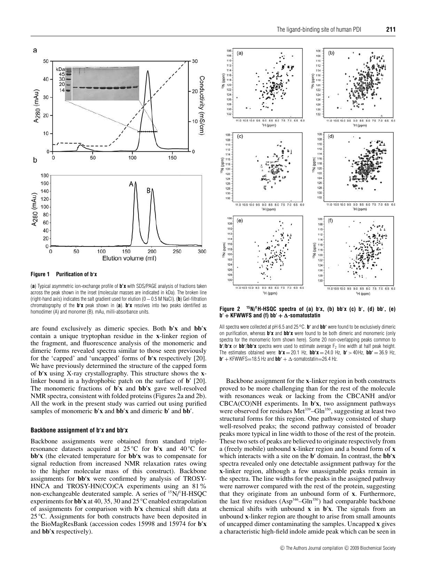





**Figure 1 Purification of b**′ **x**

(**a**) Typical asymmetric ion-exchange profile of **b** ′ **x** with SDS/PAGE analysis of fractions taken across the peak shown in the inset (molecular masses are indicated in kDa). The broken line (right-hand axis) indicates the salt gradient used for elution (0−0.5 M NaCl). (**b**) Gel-filtration chromatography of the **b'x** peak shown in (**a**). **b'x** resolves into two peaks identified as homodimer (A) and monomer (B). mAu, milli-absorbance units.

are found exclusively as dimeric species. Both **b** ′**x** and **bb**′**x** contain a unique tryptophan residue in the **x**-linker region of the fragment, and fluorescence analysis of the monomeric and dimeric forms revealed spectra similar to those seen previously for the 'capped' and 'uncapped' forms of **b** ′**x** respectively [20]. We have previously determined the structure of the capped form of **b** ′**x** using X-ray crystallography. This structure shows the **x**linker bound in a hydrophobic patch on the surface of **b** ′ [20]. The monomeric fractions of **b** ′**x** and **bb**′**x** gave well-resolved NMR spectra, consistent with folded proteins (Figures 2a and 2b). All the work in the present study was carried out using purified samples of monomeric **b**'x and **bb**'x and dimeric **b**' and **bb**'.

#### **Backbone assignment of b**′ **x and bb**′ **x**

Backbone assignments were obtained from standard tripleresonance datasets acquired at 25 ◦C for **b** ′**x** and 40 ◦C for **bb**′**x** (the elevated temperature for **bb**′**x** was to compensate for signal reduction from increased NMR relaxation rates owing to the higher molecular mass of this construct). Backbone assignments for **bb**′**x** were confirmed by analysis of TROSY-HNCA and TROSY-HN(CO)CA experiments using an 81% non-exchangeable deuterated sample. A series of <sup>15</sup>N/<sup>1</sup>H-HSQC experiments for **bb**′**x** at 40, 35, 30 and 25 ◦C enabled extrapolation of assignments for comparison with **b** ′**x** chemical shift data at  $25^{\circ}$ C. Assignments for both constructs have been deposited in the BioMagResBank (accession codes 15998 and 15974 for **b** ′**x** and **bb**′**x** respectively).



**Figure 2 <sup>15</sup>N/<sup>1</sup>H-HSQC spectra of (a) b**′ **x, (b) bb**′ **x (c) b**′ **, (d) bb**′ **, (e)**  $b' + KFWWFS$  and (f)  $bb' + \Delta$ -somatostatin

All spectra were collected at pH 6.5 and 25℃. **b'** and **bb'** were found to be exclusively dimeric on purification, whereas **b'x** and **bb'x** were found to be both dimeric and monomeric (only spectra for the monomeric form shown here). Some 20 non-overlapping peaks common to **b'/b'x** or **bb'/bb'x** spectra were used to estimate average F<sub>2</sub> line width at half peak height. The estimates obtained were:  $\mathbf{b}'\mathbf{x} = 20.1$  Hz,  $\mathbf{b}\mathbf{b}'\mathbf{x} = 24.0$  Hz,  $\mathbf{b}' > 40$ Hz,  $\mathbf{b}\mathbf{b}' = 36.9$  Hz,  **and**  $**bb**' +  $\Delta$ -somatostatin = 26.4 Hz.$ 

Backbone assignment for the **x**-linker region in both constructs proved to be more challenging than for the rest of the molecule with resonances weak or lacking from the CBCANH and/or CBCA(CO)NH experiments. In **b** ′**x**, two assignment pathways were observed for residues Met<sup>339</sup>-Gln<sup>350</sup>, suggesting at least two structural forms for this region. One pathway consisted of sharp well-resolved peaks; the second pathway consisted of broader peaks more typical in line width to those of the rest of the protein. These two sets of peaks are believed to originate respectively from a (freely mobile) unbound **x**-linker region and a bound form of **x** which interacts with a site on the **b** ′ domain. In contrast, the **bb**′**x** spectra revealed only one detectable assignment pathway for the **x**-linker region, although a few unassignable peaks remain in the spectra. The line widths for the peaks in the assigned pathway were narrower compared with the rest of the protein, suggesting that they originate from an unbound form of **x**. Furthermore, the last five residues  $(Asp<sup>346</sup>–Gln<sup>350</sup>)$  had comparable backbone chemical shifts with unbound **x** in **b** ′**x**. The signals from an unbound **x**-linker region are thought to arise from small amounts of uncapped dimer contaminating the samples. Uncapped **x** gives a characteristic high-field indole amide peak which can be seen in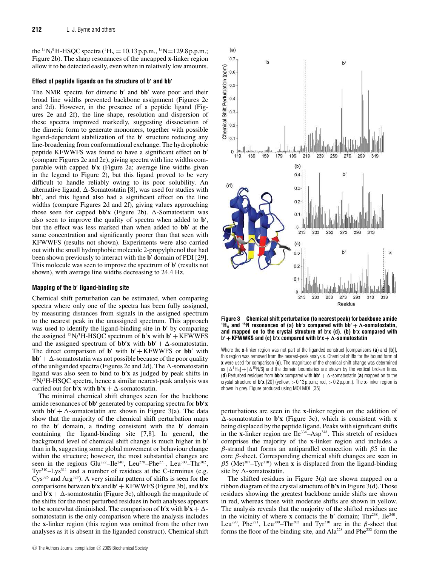the <sup>15</sup>N/<sup>1</sup>H-HSQC spectra (<sup>1</sup>H<sub>N</sub> = 10.13 p.p.m., <sup>15</sup>N=129.8 p.p.m.; Figure 2b). The sharp resonances of the uncapped **x**-linker region allow it to be detected easily, even when in relatively low amounts.

#### **Effect of peptide ligands on the structure of b**′ **and bb**′

The NMR spectra for dimeric **b**' and **bb**' were poor and their broad line widths prevented backbone assignment (Figures 2c and 2d). However, in the presence of a peptide ligand (Figures 2e and 2f), the line shape, resolution and dispersion of these spectra improved markedly, suggesting dissociation of the dimeric form to generate monomers, together with possible ligand-dependent stabilization of the **b** ′ structure reducing any line-broadening from conformational exchange. The hydrophobic peptide KFWWFS was found to have a significant effect on **b** ′ (compare Figures 2c and 2e), giving spectra with line widths comparable with capped **b** ′**x** (Figure 2a; average line widths given in the legend to Figure 2), but this ligand proved to be very difficult to handle reliably owing to its poor solubility. An alternative ligand,  $\Delta$ -Somatostatin [8], was used for studies with **bb**′ , and this ligand also had a significant effect on the line widths (compare Figures 2d and 2f), giving values approaching those seen for capped  $bb'x$  (Figure 2b).  $\Delta$ -Somatostatin was also seen to improve the quality of spectra when added to **b** ′ , but the effect was less marked than when added to **bb**′ at the same concentration and significantly poorer than that seen with KFWWFS (results not shown). Experiments were also carried out with the small hydrophobic molecule 2-propylphenol that had been shown previously to interact with the **b** ′ domain of PDI [29]. This molecule was seen to improve the spectrum of **b** ′ (results not shown), with average line widths decreasing to 24.4 Hz.

#### **Mapping of the b**′ **ligand-binding site**

Chemical shift perturbation can be estimated, when comparing spectra where only one of the spectra has been fully assigned, by measuring distances from signals in the assigned spectrum to the nearest peak in the unassigned spectrum. This approach was used to identify the ligand-binding site in **b**' by comparing the assigned  ${}^{15}N/{}^{1}H$ -HSQC spectrum of  $b'x$  with  $b' + KFWWFS$ and the assigned spectrum of  $bb'x$  with  $bb' + \Delta$ -somatostatin. The direct comparison of  $\mathbf{b}'$  with  $\mathbf{b}' + \text{KFWWFS}$  or  $\mathbf{b}\mathbf{b}'$  with **-somatostatin was not possible because of the poor quality** of the unliganded spectra (Figures 2c and 2d). The  $\Delta$ -somatostatin ligand was also seen to bind to **b** ′**x** as judged by peak shifts in  $15N$ <sup>15</sup>N/<sup>1</sup>H-HSQC spectra, hence a similar nearest-peak analysis was carried out for  $\mathbf{b}^{\prime}\mathbf{x}$  with  $\mathbf{b}^{\prime}\mathbf{x} + \Delta$ -somatostatin.

The minimal chemical shift changes seen for the backbone amide resonances of **bb**′ generated by comparing spectra for **bb**′**x** with  $bb' + \Delta$ -somatostatin are shown in Figure 3(a). The data show that the majority of the chemical shift perturbation maps to the **b** ′ domain, a finding consistent with the **b** ′ domain containing the ligand-binding site [7,8]. In general, the background level of chemical shift change is much higher in **b** ′ than in **b**, suggesting some global movement or behaviour change within the structure; however, the most substantial changes are seen in the regions  $Glu^{222}$ –Ile<sup>240</sup>, Leu<sup>270</sup>–Phe<sup>271</sup>, Leu<sup>300</sup>–Thr<sup>302</sup>, Tyr<sup>310</sup>-Lys<sup>311</sup> and a number of residues at the C-terminus (e.g.  $Cys<sup>326</sup>$  and Arg<sup>328</sup>). A very similar pattern of shifts is seen for the comparisons between  $\mathbf{b}'\mathbf{x}$  and  $\mathbf{b}' + \mathbf{K}$  FWWFS (Figure 3b), and  $\mathbf{b}'\mathbf{x}$ and  $\mathbf{b}'\mathbf{x} + \Delta$ -somatostatin (Figure 3c), although the magnitude of the shifts for the most perturbed residues in both analyses appears to be somewhat diminished. The comparison of  $\mathbf{b}'\mathbf{x}$  with  $\mathbf{b}'\mathbf{x} + \Delta$ somatostatin is the only comparison where the analysis includes the **x**-linker region (this region was omitted from the other two analyses as it is absent in the liganded construct). Chemical shift



139 159 179 199 219 239  $259$ 279

> $(b)$  $0.4$

 $0.3$ 

119

 $(d)$ 

 $(a)$  $0.7$ 

 $0.6$  $0.5$  $0.4$  $0.3$  $0.2$  $0.1$  $\mathbf{0}$ 

Chemical Shift Perturbation (ppm)

 $\mathbf b$ 

 $h'$ 

299

 $\overline{b}$ 

273

b

293 313

293

313 333

Where the **x**-linker region was not part of the liganded construct [comparisons (**a**) and (**b**)], this region was removed from the nearest-peak analysis. Chemical shifts for the bound form of **x** were used for comparison (**c**). The magnitude of the chemical shift change was determined as  $|\Delta^1H_N| + |\Delta^{15}N/6|$  and the domain boundaries are shown by the vertical broken lines. (**d**) Perturbed residues from **bb'x** compared with **bb'**  $+ \Delta$ -somatostatin (a) mapped on to the crystal structure of  $\mathbf{b}'\mathbf{x}$  [20] (yellow,  $> 0.13$  p.p.m.; red,  $> 0.2$  p.p.m.). The  $\mathbf{x}$ -linker region is shown in grey. Figure produced using MOLMOL [35].

perturbations are seen in the **x**-linker region on the addition of -somatostatin to **b** ′**x** (Figure 3c), which is consistent with **x** being displaced by the peptide ligand. Peaks with significant shifts in the  $\bf{x}$ -linker region are  $\text{I} \text{I} e^{334}$ -Asp<sup>348</sup>. This stretch of residues comprises the majority of the **x**-linker region and includes a  $β$ -strand that forms an antiparallel connection with  $β5$  in the core β-sheet. Corresponding chemical shift changes are seen in  $\beta$ 5 (Met<sup>307</sup>–Tyr<sup>310</sup>) when **x** is displaced from the ligand-binding site by  $\Delta$ -somatostatin.

The shifted residues in Figure 3(a) are shown mapped on a ribbon diagram of the crystal structure of **b** ′**x** in Figure 3(d). Those residues showing the greatest backbone amide shifts are shown in red, whereas those with moderate shifts are shown in yellow. The analysis reveals that the majority of the shifted residues are in the vicinity of where  $x$  contacts the  $b'$  domain; Thr<sup>238</sup>, Ile<sup>240</sup>, Leu<sup>270</sup>, Phe<sup>271</sup>, Leu<sup>300</sup>–Thr<sup>302</sup> and Tyr<sup>310</sup> are in the  $\beta$ -sheet that forms the floor of the binding site, and Ala<sup>228</sup> and Phe<sup>232</sup> form the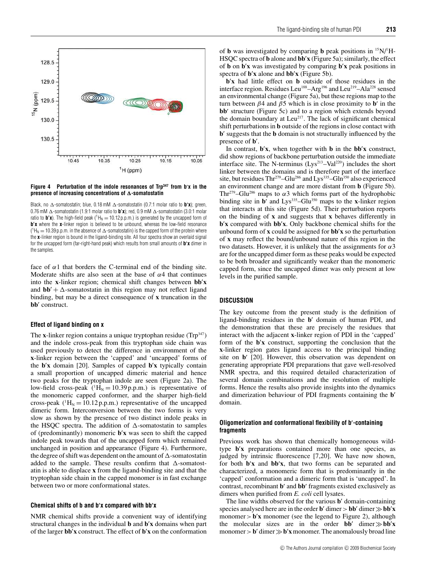

**Figure 4 Perturbation of the indole resonances of Trp<sup>347</sup> from b**′ **x in the presence of increasing concentrations of** -**-somatostatin**

Black, no ∆-somatostatin; blue, 0.18 mM ∆-somatostatin (0.7:1 molar ratio to **b'x**); green,  $0.76$  mM  $\Delta$ -somatostatin (1.9:1 molar ratio to  $\mathbf{b}'\mathbf{x}$ ); red, 0.9 mM  $\Delta$ -somatostatin (3.0:1 molar ratio to  $\mathbf{b}'\mathbf{x}$ ). The high-field peak ( ${}^1\mathsf{H}_{\mathsf{N}} = 10.12$  p.p.m.) is generated by the uncapped form of **b** ′ **x** where the **x**-linker region is believed to be unbound, whereas the low-field resonance ( ${}^{1}$ H<sub>N</sub>  $=$  10.39 p.p.m. in the absence of  $\Delta$ -somatostatin) is the capped form of the protein where the **x**-linker region is bound in the ligand-binding site. All four spectra show an overlaid signal for the uncapped form (far-right-hand peak) which results from small amounts of **b** ′ **x** dimer in the samples.

face of  $\alpha$ 1 that borders the C-terminal end of the binding site. Moderate shifts are also seen at the base of  $\alpha$ 4 that continues into the **x**-linker region; chemical shift changes between **bb**′**x** and  $bb' + \Delta$ -somatostatin in this region may not reflect ligand binding, but may be a direct consequence of **x** truncation in the **bb**′ construct.

#### **Effect of ligand binding on x**

The **x**-linker region contains a unique tryptophan residue  $(Trp^{347})$ and the indole cross-peak from this tryptophan side chain was used previously to detect the difference in environment of the **x**-linker region between the 'capped' and 'uncapped' forms of the **b** ′**x** domain [20]. Samples of capped **b** ′**x** typically contain a small proportion of uncapped dimeric material and hence two peaks for the tryptophan indole are seen (Figure 2a). The low-field cross-peak ( ${}^{1}H_N = 10.39$  p.p.m.) is representative of the monomeric capped conformer, and the sharper high-field cross-peak ( ${}^{1}H_N = 10.12$  p.p.m.) representative of the uncapped dimeric form. Interconversion between the two forms is very slow as shown by the presence of two distinct indole peaks in the HSQC spectra. The addition of  $\Delta$ -somatostatin to samples of (predominantly) monomeric **b** ′**x** was seen to shift the capped indole peak towards that of the uncapped form which remained unchanged in position and appearance (Figure 4). Furthermore, the degree of shift was dependent on the amount of  $\Delta$ -somatostatin added to the sample. These results confirm that  $\Delta$ -somatostatin is able to displace **x** from the ligand-binding site and that the tryptophan side chain in the capped monomer is in fast exchange between two or more conformational states.

#### **Chemical shifts of b and b**′ **x compared with bb**′ **x**

NMR chemical shifts provide a convenient way of identifying structural changes in the individual **b** and **b** ′**x** domains when part of the larger **bb**′**x** construct. The effect of **b** ′**x** on the conformation

of **b** was investigated by comparing **b** peak positions in  $15N/I$ H-HSQC spectra of **b** alone and **bb**′**x** (Figure 5a); similarly, the effect of **b** on **b** ′**x** was investigated by comparing **b** ′**x** peak positions in spectra of **b** ′**x** alone and **bb**′**x** (Figure 5b).

**b** ′**x** had little effect on **b** outside of those residues in the interface region. Residues Leu<sup>188</sup>-Arg<sup>196</sup> and Leu<sup>219</sup>-Ala<sup>228</sup> sensed an environmental change (Figure 5a), but these regions map to the turn between  $\beta$ 4 and  $\beta$ 5 which is in close proximity to **b**' in the **bb**′ structure (Figure 5c) and to a region which extends beyond the domain boundary at Leu<sup>217</sup>. The lack of significant chemical shift perturbations in **b** outside of the regions in close contact with **b** ′ suggests that the **b** domain is not structurally influenced by the presence of **b**'.

In contrast, **b** ′**x**, when together with **b** in the **bb**′**x** construct, did show regions of backbone perturbation outside the immediate interface site. The N-terminus  $(Lys^{213}-Val^{220})$  includes the short linker between the domains and is therefore part of the interface site, but residues  $Thr^{279} - Glu^{286}$  and  $Lys^{335} - Gln^{350}$  also experienced an environment change and are more distant from **b** (Figure 5b). Thr<sup>279</sup>–Glu<sup>286</sup> maps to  $\alpha$ 3 which forms part of the hydrophobic binding site in **b**' and Lys<sup>335</sup>–Glu<sup>350</sup> maps to the **x**-linker region that interacts at this site (Figure 5d). Their perturbation reports on the binding of **x** and suggests that **x** behaves differently in **b** ′**x** compared with **bb**′**x**. Only backbone chemical shifts for the unbound form of **x** could be assigned for **bb**′**x** so the perturbation of **x** may reflect the bound/unbound nature of this region in the two datasets. However, it is unlikely that the assignments for  $\alpha$ 3 are for the uncapped dimer form as these peaks would be expected to be both broader and significantly weaker than the monomeric capped form, since the uncapped dimer was only present at low levels in the purified sample.

#### **DISCUSSION**

The key outcome from the present study is the definition of ligand-binding residues in the **b** ′ domain of human PDI, and the demonstration that these are precisely the residues that interact with the adjacent **x**-linker region of PDI in the 'capped' form of the **b** ′**x** construct, supporting the conclusion that the **x**-linker region gates ligand access to the principal binding site on **b**' [20]. However, this observation was dependent on generating appropriate PDI preparations that gave well-resolved NMR spectra, and this required detailed characterization of several domain combinations and the resolution of multiple forms. Hence the results also provide insights into the dynamics and dimerization behaviour of PDI fragments containing the **b** ′ domain.

#### **Oligomerization and conformational flexibility of b**′ **-containing fragments**

Previous work has shown that chemically homogeneous wildtype **b** ′**x** preparations contained more than one species, as judged by intrinsic fluorescence [7,20]. We have now shown, for both **b** ′**x** and **bb**′**x**, that two forms can be separated and characterized, a monomeric form that is predominantly in the 'capped' conformation and a dimeric form that is 'uncapped'. In contrast, recombinant **b'** and **bb'** fragments existed exclusively as dimers when purified from *E. coli* cell lysates.

The line widths observed for the various **b** ′ domain-containing species analysed here are in the order **b** ′ dimer>**bb**′ dimer≫**bb**′**x** monomer > **b'x** monomer (see the legend to Figure 2), although the molecular sizes are in the order **bb**′ dimer≫**bb**′**x** monomer >  $\mathbf{b}'$  dimer  $\gg \mathbf{b}'$  x monomer. The anomalously broad line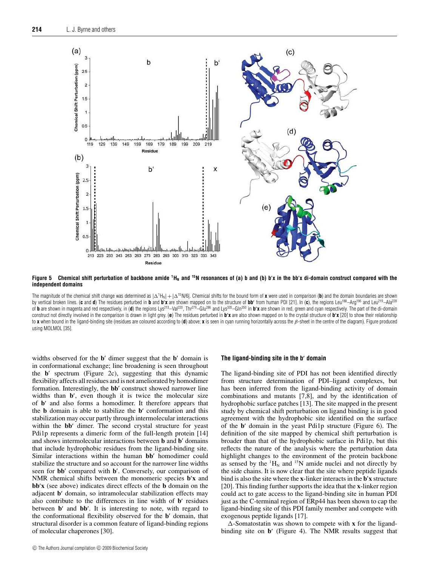

**Figure 5 Chemical shift perturbation of backbone amide <sup>1</sup>H<sup>N</sup> and <sup>15</sup>N resonances of (a) b and (b) b**′ **x in the bb**′ **x di-domain construct compared with the independent domains**

The magnitude of the chemical shift change was determined as  $\Delta^1 H_N$  +  $\Delta^{15}N/6$ . Chemical shifts for the bound form of **x** were used in comparison (b) and the domain boundaries are shown by vertical broken lines. (**c** and **d**) The residues perturbed in **b** and **b'x** are shown mapped on to the structure of **bb'** from human PDI [21]. In (**c**), the regions Leu<sup>188</sup>–Arg<sup>196</sup> and Leu<sup>219</sup>–Ala<sup>226</sup> of **b** are shown in magenta and red respectively, in (**d**) the regions Lys<sup>213</sup>–Val<sup>220</sup>, Thr<sup>279</sup>–Glu<sup>286</sup> and Lys<sup>335</sup>–Gln<sup>350</sup> in **b′x** are shown in red, green and cyan respectively. The part of the di-domain construct not directly involved in the comparison is drawn in light grey. (**e**) The residues perturbed in **b'x** are also shown mapped on to the crystal structure of **b'x** [20] to show their relationship to **x** when bound in the ligand-binding site (residues are coloured according to (**d**) above; **x** is seen in cyan running horizontally across the β-sheet in the centre of the diagram). Figure produced using MOLMOL [35].

widths observed for the **b'** dimer suggest that the **b'** domain is in conformational exchange; line broadening is seen throughout the **b** ′ spectrum (Figure 2c), suggesting that this dynamic flexibility affects all residues and is not ameliorated by homodimer formation. Interestingly, the **bb**′ construct showed narrower line widths than **b**', even though it is twice the molecular size of **b** ′ and also forms a homodimer. It therefore appears that the **b** domain is able to stabilize the **b** ′ conformation and this stabilization may occur partly through intermolecular interactions within the **bb**′ dimer. The second crystal structure for yeast Pdi1p represents a dimeric form of the full-length protein [14] and shows intermolecular interactions between **b** and **b** ′ domains that include hydrophobic residues from the ligand-binding site. Similar interactions within the human **bb**′ homodimer could stabilize the structure and so account for the narrower line widths seen for **bb**' compared with **b**'. Conversely, our comparison of NMR chemical shifts between the monomeric species **b** ′**x** and **bb**′**x** (see above) indicates direct effects of the **b** domain on the adjacent **b** ′ domain, so intramolecular stabilization effects may also contribute to the differences in line width of **b**' residues between **b**' and **bb**'. It is interesting to note, with regard to the conformational flexibility observed for the **b** ′ domain, that structural disorder is a common feature of ligand-binding regions of molecular chaperones [30].

#### **The ligand-binding site in the b**′ **domain**

The ligand-binding site of PDI has not been identified directly from structure determination of PDI–ligand complexes, but has been inferred from the ligand-binding activity of domain combinations and mutants [7,8], and by the identification of hydrophobic surface patches [13]. The site mapped in the present study by chemical shift perturbation on ligand binding is in good agreement with the hydrophobic site identified on the surface of the **b** ′ domain in the yeast Pdi1p structure (Figure 6). The definition of the site mapped by chemical shift perturbation is broader than that of the hydrophobic surface in Pdi1p, but this reflects the nature of the analysis where the perturbation data highlight changes to the environment of the protein backbone as sensed by the  ${}^{1}H_N$  and  ${}^{15}N$  amide nuclei and not directly by the side chains. It is now clear that the site where peptide ligands bind is also the site where the **x**-linker interacts in the **b** ′**x** structure [20]. This finding further supports the idea that the **x**-linker region could act to gate access to the ligand-binding site in human PDI just as the C-terminal region of ERp44 has been shown to cap the ligand-binding site of this PDI family member and compete with exogenous peptide ligands [17].

 $\Delta$ -Somatostatin was shown to compete with **x** for the ligandbinding site on **b'** (Figure 4). The NMR results suggest that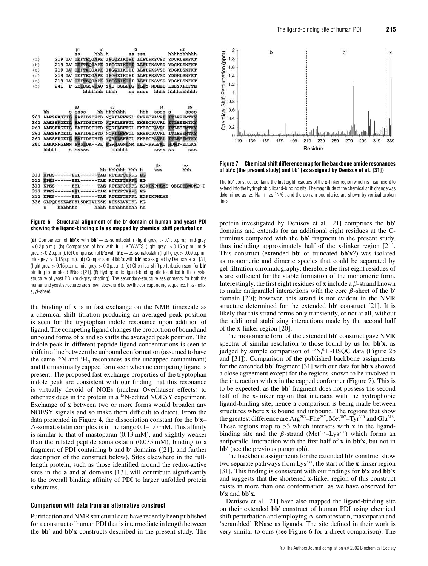|     |                                                           |        | <b>B1</b>                                   | a1                               |                                                    | B2                                            |                   | $\alpha$ <sub>2</sub> |            |                |  |
|-----|-----------------------------------------------------------|--------|---------------------------------------------|----------------------------------|----------------------------------------------------|-----------------------------------------------|-------------------|-----------------------|------------|----------------|--|
|     |                                                           |        | SS                                          | hhh h                            |                                                    |                                               | SS SSS            |                       |            | hhhhhhhhh      |  |
| (a) |                                                           |        |                                             |                                  | 219 LV IEFTEQTAPK IFGGEIKTHI LLFLPKSVSD YDGKLSNFKT |                                               |                   |                       |            |                |  |
| (b) |                                                           |        |                                             |                                  | 219 LV IEFTEOTAPK IFGGEIKTHI LLFLPKSVSD YDGKLSNFKT |                                               |                   |                       |            |                |  |
| (c) | 219                                                       | LV     | IEFTEOTAPK IFGGEIKTHI LLFLPKSVSD YDGKLSNFKT |                                  |                                                    |                                               |                   |                       |            |                |  |
| (d) | 219                                                       |        |                                             |                                  | LV IEFTEOTAPK IFGGEIKTHI                           |                                               |                   | LLFLPKSVSD YDGKLSNFKT |            |                |  |
| (e) | 219 LV                                                    |        | <b>IEFTEOTAPK IFGGEIKTHI</b>                |                                  |                                                    |                                               | <b>LLFLPKSVSD</b> |                       | YDGKLSNFKT |                |  |
| (f) | 241                                                       |        |                                             |                                  |                                                    | F GEIDGSVFAO YVE-SGLPLG YLFY-NDEEE LEEYKPLFTE |                   |                       |            |                |  |
|     |                                                           |        |                                             | hhhhhhh hhhh                     |                                                    | <b>SS</b>                                     | <b>SSSS</b>       |                       |            | hhhh hhhhhhhhh |  |
|     |                                                           |        | 83                                          |                                  | $\alpha$ <sub>3</sub>                              |                                               |                   | <b>B4</b>             |            | 85             |  |
|     | hh                                                        |        | s ssss                                      |                                  | hh hhhhhhh                                         |                                               | hhh               | SSSS <sub>S</sub>     |            | <b>SSSS</b>    |  |
| 261 | <b>AAESFKGKIL</b>                                         |        |                                             |                                  | FAFIDSDHTD NORILEFFGL KKEECPAVRL ITLEEEMTKY        |                                               |                   |                       |            |                |  |
| 261 | <b>AAESFKGKIL</b><br><b>FAFIDSDHTD</b>                    |        |                                             |                                  | <b>NORILEFFGL KKEECPAVRL</b>                       |                                               |                   | <b>ITLEEEMTKY</b>     |            |                |  |
| 261 | <b>AAESFKGKIL</b><br>FAFIDSDHTD                           |        |                                             | NORILEFFGL KKEECPAVRL ITLEEEMTKY |                                                    |                                               |                   |                       |            |                |  |
| 261 | <b>AAESFKGKIL</b><br><b>FAFIDSDHTD</b>                    |        | NORILEFFGL KKEECPAVRL                       |                                  |                                                    | <b>ITLEEEMTKY</b>                             |                   |                       |            |                |  |
| 261 | <b>FAFIDSDHTD</b><br><b>AAESFKGKIL</b>                    |        |                                             | NORILEFFGL KKEECPAVRL            |                                                    |                                               | <b>ITLEEEMTKY</b> |                       |            |                |  |
|     | 280 LAKKNRGLMN FVSIDA--RK FGRHAGNLNM KEO-FPLFAI           |        |                                             |                                  |                                                    |                                               |                   | <b>HDMT-EDLKY</b>     |            |                |  |
|     | hhhhh                                                     |        | S SSSSS                                     |                                  | hhhhhh                                             |                                               |                   | SSSS SS               |            | <b>SSS</b>     |  |
|     |                                                           |        |                                             |                                  | cı4                                                |                                               |                   | Bx                    |            | $\alpha x$     |  |
|     |                                                           |        |                                             |                                  | hh hhhhhh hhh h                                    |                                               |                   | SSS                   |            | hhh            |  |
| 311 | KPES-------EEL------TAE RITEFCHRFL EG                     |        |                                             |                                  |                                                    |                                               |                   |                       |            |                |  |
| 311 | KPES-------EEL------TAE RITEFCHRFL                        |        |                                             |                                  |                                                    |                                               | EG                |                       |            |                |  |
| 311 | KPES------EEL------TAE RITEFCHRFL EGKIKPHLMS OELPEDWDKO P |        |                                             |                                  |                                                    |                                               |                   |                       |            |                |  |
| 311 | KPES-------EEL------TAE RITEFCHRFL EG                     |        |                                             |                                  |                                                    |                                               |                   |                       |            |                |  |
| 311 | KPES-------EEL------TAE RITEFCHRFL EGKIKPHLMS             |        |                                             |                                  |                                                    |                                               |                   |                       |            |                |  |
| 326 | GLPOLSEEAFDELSDKIVLESK AIESLVKDFL KG                      |        |                                             |                                  |                                                    |                                               |                   |                       |            |                |  |
|     | s                                                         | hhhhhh |                                             |                                  | hhhh hhhhhhhhh hh                                  |                                               |                   |                       |            |                |  |
|     |                                                           |        |                                             |                                  |                                                    |                                               |                   |                       |            |                |  |

#### **Figure 6 Structural alignment of the b**′ **domain of human and yeast PDI showing the ligand-binding site as mapped by chemical shift perturbation**

(a) Comparison of **bb'x** with  $bb' + \Delta$ -somatostatin (light grey,  $> 0.13$ p.p.m.; mid-grey,  $> 0.2$  p.p.m.). (**b**) Comparison of **b'x** with **b'** + KFWWFS (light grey,  $> 0.15$  p.p.m.; midgrey,  $>0.2$  p.p.m.). (**c**) Comparison of **b′x** with **b′x**  $+$   $\Delta$ -somatostatin (light grey,  $>0.09$  p.p.m.; mid-grey, >0.15 p.p.m.). (**d**) Comparison of **bb**′ **x** with **bb**′ as assigned by Denisov et al. [31] (light grey, >0.15 p.p.m.; mid-grey, >0.3 p.p.m.). (**e**) Chemical shift perturbation seen for **bb**′ binding to unfolded RNase [21]. (**f**) Hydrophobic ligand-binding site identified in the crystal structure of yeast PDI (mid-grey shading). The secondary-structure assignments for both the human and yeast structures are shown above and below the corresponding sequence. h,  $\alpha$ -helix; s,  $\beta$ -sheet.

the binding of **x** is in fast exchange on the NMR timescale as a chemical shift titration producing an averaged peak position is seen for the tryptophan indole resonance upon addition of ligand. The competing ligand changes the proportion of bound and unbound forms of **x** and so shifts the averaged peak position. The indole peak in different peptide ligand concentrations is seen to shift in a line between the unbound conformation (assumed to have the same  $^{15}N$  and  $^{1}H_N$  resonances as the uncapped contaminant) and the maximally capped form seen when no competing ligand is present. The proposed fast-exchange properties of the tryptophan indole peak are consistent with our finding that this resonance is virtually devoid of NOEs (nuclear Overhauser effects) to other residues in the protein in a <sup>15</sup>N-edited NOESY experiment. Exchange of **x** between two or more forms would broaden any NOESY signals and so make them difficult to detect. From the data presented in Figure 4, the dissociation constant for the **b** ′**x**–  $\Delta$ -somatostatin complex is in the range 0.1–1.0 mM. This affinity is similar to that of mastoparan (0.13 mM), and slightly weaker than the related peptide somatostatin (0.035 mM), binding to a fragment of PDI containing **b** and **b** ′ domains ([21]; and further description of the construct below). Sites elsewhere in the fulllength protein, such as those identified around the redox-active sites in the **a** and **a** ′ domains [13], will contribute significantly to the overall binding affinity of PDI to larger unfolded protein substrates.

#### **Comparison with data from an alternative construct**

Purification and NMR structural data have recently been published for a construct of human PDI that is intermediate in length between the **bb**′ and **bb**′**x** constructs described in the present study. The



**Figure 7 Chemical shift difference map for the backbone amide resonances of bb**′ **x (the present study) and bb**′ **(as assigned by Denisov et al. [31])**

The **bb**′ construct contains the first eight residues of the **x**-linker region which is insufficient to extend into the hydrophobic ligand-binding site. The magnitude of the chemical shift change was determined as  $|\Delta^1 H_N| + |\Delta^{15} N/6|$ , and the domain boundaries are shown by vertical broken lines.

protein investigated by Denisov et al. [21] comprises the **bb**′ domains and extends for an additional eight residues at the Cterminus compared with the **bb**′ fragment in the present study, thus including approximately half of the **x**-linker region [21]. This construct (extended **bb**′ or truncated **bb**′**x**?) was isolated as monomeric and dimeric species that could be separated by gel-filtration chromatography; therefore the first eight residues of **x** are sufficient for the stable formation of the monomeric form. Interestingly, the first eight residues of  $\bf{x}$  include a  $\beta$ -strand known to make antiparallel interactions with the core  $\beta$ -sheet of the **b**<sup>*'*</sup> domain [20]; however, this strand is not evident in the NMR structure determined for the extended **bb**′ construct [21]. It is likely that this strand forms only transiently, or not at all, without the additional stabilizing interactions made by the second half of the **x**-linker region [20].

The monomeric form of the extended **bb**′ construct gave NMR spectra of similar resolution to those found by us for **bb**′**x**, as judged by simple comparison of <sup>15</sup>N/<sup>1</sup>H-HSQC data (Figure 2b and [31]). Comparison of the published backbone assignments for the extended **bb**′ fragment [31] with our data for **bb**′**x** showed a close agreement except for the regions known to be involved in the interaction with **x** in the capped conformer (Figure 7). This is to be expected, as the **bb**′ fragment does not possess the second half of the **x**-linker region that interacts with the hydrophobic ligand-binding site; hence a comparison is being made between structures where **x** is bound and unbound. The regions that show the greatest difference are  $Arg^{283}$ –Phe<sup>287</sup>, Met<sup>307</sup>–Tyr<sup>310</sup> and Glu<sup>316</sup>. These regions map to  $\alpha$ 3 which interacts with **x** in the ligandbinding site and the  $\beta$ -strand (Met<sup>307</sup>–Lys<sup>311</sup>) which forms an antiparallel interaction with the first half of **x** in **bb**′**x**, but not in **bb**′ (see the previous paragraph).

The backbone assignments for the extended **bb**′ construct show two separate pathways from Lys<sup>333</sup>, the start of the **x**-linker region [31]. This finding is consistent with our findings for **b** ′**x** and **bb**′**x** and suggests that the shortened **x**-linker region of this construct exists in more than one conformation, as we have observed for **b** ′**x** and **bb**′**x**.

Denisov et al. [21] have also mapped the ligand-binding site on their extended **bb**′ construct of human PDI using chemical shift perturbation and employing  $\Delta$ -somatostatin, mastoparan and 'scrambled' RNase as ligands. The site defined in their work is very similar to ours (see Figure 6 for a direct comparison). The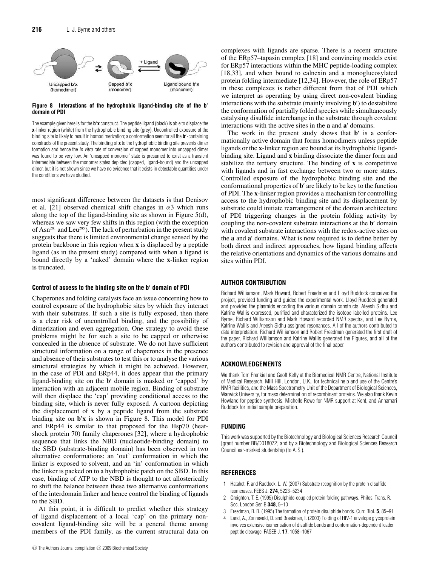

#### **Figure 8 Interactions of the hydrophobic ligand-binding site of the b**′ **domain of PDI**

The example given here is for the **b** ′ **x** construct. The peptide ligand (black) is able to displace the **x**-linker region (white) from the hydrophobic binding site (grey). Uncontrolled exposure of the binding site is likely to result in homodimerization; a conformation seen for all the **b** ′ -containing constructs of the present study. The binding of **x** to the hydrophobic binding site prevents dimer formation and hence the in vitro rate of conversion of capped monomer into uncapped dimer was found to be very low. An 'uncapped monomer' state is presumed to exist as a transient intermediate between the monomer states depicted (capped, ligand-bound) and the uncapped dimer, but it is not shown since we have no evidence that it exists in detectable quantities under the conditions we have studied.

most significant difference between the datasets is that Denisov et al. [21] observed chemical shift changes in  $\alpha$ 3 which runs along the top of the ligand-binding site as shown in Figure 5(d), whereas we saw very few shifts in this region (with the exception of Asn<sup>281</sup> and Leu<sup>285</sup>). The lack of perturbation in the present study suggests that there is limited environmental change sensed by the protein backbone in this region when **x** is displaced by a peptide ligand (as in the present study) compared with when a ligand is bound directly by a 'naked' domain where the **x**-linker region is truncated.

#### **Control of access to the binding site on the b**′ **domain of PDI**

Chaperones and folding catalysts face an issue concerning how to control exposure of the hydrophobic sites by which they interact with their substrates. If such a site is fully exposed, then there is a clear risk of uncontrolled binding, and the possibility of dimerization and even aggregation. One strategy to avoid these problems might be for such a site to be capped or otherwise concealed in the absence of substrate. We do not have sufficient structural information on a range of chaperones in the presence and absence of their substrates to test this or to analyse the various structural strategies by which it might be achieved. However, in the case of PDI and ERp44, it does appear that the primary ligand-binding site on the **b** ′ domain is masked or 'capped' by interaction with an adjacent mobile region. Binding of substrate will then displace the 'cap' providing conditional access to the binding site, which is never fully exposed. A cartoon depicting the displacement of **x** by a peptide ligand from the substrate binding site on **b** ′**x** is shown in Figure 8. This model for PDI and ERp44 is similar to that proposed for the Hsp70 (heatshock protein 70) family chaperones [32], where a hydrophobic sequence that links the NBD (nucleotide-binding domain) to the SBD (substrate-binding domain) has been observed in two alternative conformations: an 'out' conformation in which the linker is exposed to solvent, and an 'in' conformation in which the linker is packed on to a hydrophobic patch on the SBD. In this case, binding of ATP to the NBD is thought to act allosterically to shift the balance between these two alternative conformations of the interdomain linker and hence control the binding of ligands to the SBD.

At this point, it is difficult to predict whether this strategy of ligand displacement of a local 'cap' on the primary noncovalent ligand-binding site will be a general theme among members of the PDI family, as the current structural data on

 $\copyright$  The Authors Journal compilation  $\copyright$  2009 Biochemical Society

complexes with ligands are sparse. There is a recent structure of the ERp57–tapasin complex [18] and convincing models exist for ERp57 interactions within the MHC peptide-loading complex [18,33], and when bound to calnexin and a monoglucosylated protein folding intermediate [12,34]. However, the role of ERp57 in these complexes is rather different from that of PDI which we interpret as operating by using direct non-covalent binding interactions with the substrate (mainly involving **b** ′ ) to destabilize the conformation of partially folded species while simultaneously catalysing disulfide interchange in the substrate through covalent interactions with the active sites in the **a** and **a** ′ domains.

The work in the present study shows that **b**' is a conformationally active domain that forms homodimers unless peptide ligands or the **x**-linker region are bound at its hydrophobic ligandbinding site. Ligand and **x** binding dissociate the dimer form and stabilize the tertiary structure. The binding of **x** is competitive with ligands and in fast exchange between two or more states. Controlled exposure of the hydrophobic binding site and the conformational properties of **b** ′ are likely to be key to the function of PDI. The **x**-linker region provides a mechanism for controlling access to the hydrophobic binding site and its displacement by substrate could initiate rearrangement of the domain architecture of PDI triggering changes in the protein folding activity by coupling the non-covalent substrate interactions at the **b** ′ domain with covalent substrate interactions with the redox-active sites on the **a** and **a** ′ domains. What is now required is to define better by both direct and indirect approaches, how ligand binding affects the relative orientations and dynamics of the various domains and sites within PDI.

#### **AUTHOR CONTRIBUTION**

Richard Williamson, Mark Howard, Robert Freedman and Lloyd Ruddock conceived the project, provided funding and guided the experimental work. Lloyd Ruddock generated and provided the plasmids encoding the various domain constructs. Ateesh Sidhu and Katrine Wallis expressed, purified and characterized the isotope-labelled proteins. Lee Byrne, Richard Williamson and Mark Howard recorded NMR spectra, and Lee Byrne, Katrine Wallis and Ateesh Sidhu assigned resonances. All of the authors contributed to data interpretation. Richard Williamson and Robert Freedman generated the first draft of the paper, Richard Williamson and Katrine Wallis generated the Figures, and all of the authors contributed to revision and approval of the final paper.

#### **ACKNOWLEDGEMENTS**

We thank Tom Frenkiel and Geoff Kelly at the Biomedical NMR Centre, National Institute of Medical Research, Mill Hill, London, U.K., for technical help and use of the Centre's NMR facilities, and the Mass Spectrometry Unit of the Department of Biological Sciences, Warwick University, for mass determination of recombinant proteins. We also thank Kevin Howland for peptide synthesis, Michelle Rowe for NMR support at Kent, and Annamari Ruddock for initial sample preparation.

#### **FUNDING**

This work was supported by the Biotechnology and Biological Sciences Research Council [grant number BB/D018072] and by a Biotechnology and Biological Sciences Research Council ear-marked studentship (to A. S.).

#### **REFERENCES**

- 1 Hatahet, F. and Ruddock, L. W. (2007) Substrate recognition by the protein disulfide isomerases. FEBS J. **274**, 5223–5234
- 2 Creighton, T. E. (1995) Disulphide-coupled protein folding pathways. Philos. Trans. R. Soc. London Ser. B **348**, 5–10
- 3 Freedman, R. B. (1995) The formation of protein disulphide bonds. Curr. Biol. **5**, 85–91
- 4 Land, A., Zonneveld, D. and Braakman, I. (2003) Folding of HIV-1 envelope glycoprotein involves extensive isomerisation of disulfide bonds and conformation-dependent leader peptide cleavage. FASEB J. **17**, 1058–1067